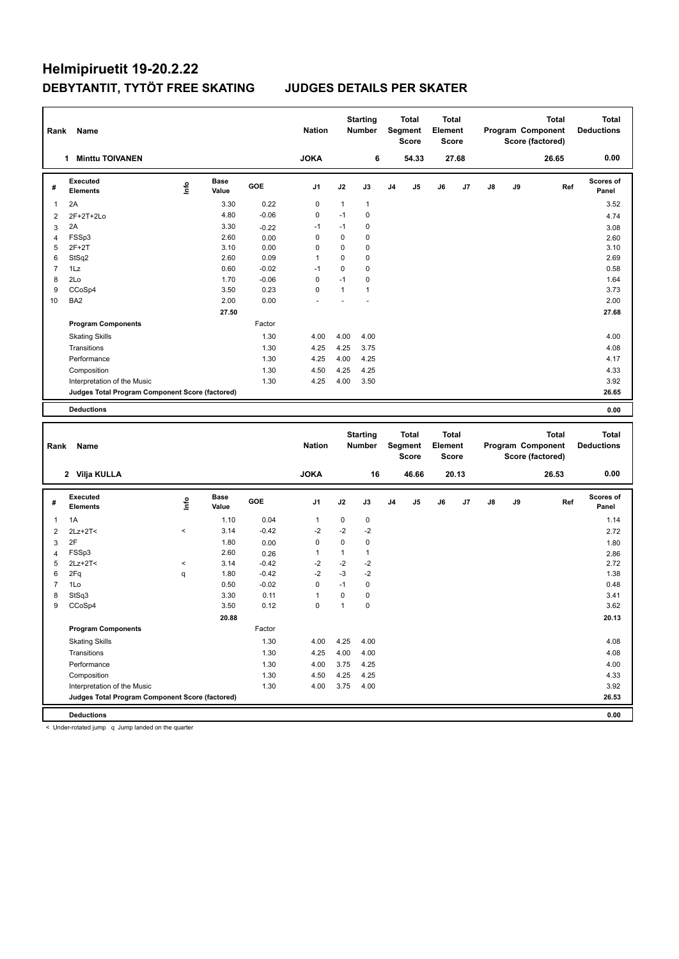| Rank           | Name                                                                 |       |                      |         | <b>Nation</b> |              | <b>Starting</b><br><b>Number</b> |    | <b>Total</b><br>Segment<br>Score | <b>Total</b><br>Element<br><b>Score</b> |       |    |    | <b>Total</b><br>Program Component<br>Score (factored) |     | Total<br><b>Deductions</b> |
|----------------|----------------------------------------------------------------------|-------|----------------------|---------|---------------|--------------|----------------------------------|----|----------------------------------|-----------------------------------------|-------|----|----|-------------------------------------------------------|-----|----------------------------|
|                | 1 Minttu TOIVANEN                                                    |       |                      |         | <b>JOKA</b>   |              | 6                                |    | 54.33                            |                                         | 27.68 |    |    | 26.65                                                 |     | 0.00                       |
| #              | <b>Executed</b><br><b>Elements</b>                                   | ١nf٥  | <b>Base</b><br>Value | GOE     | J1            | J2           | J3                               | J4 | J5                               | J6                                      | J7    | J8 | J9 |                                                       | Ref | <b>Scores of</b><br>Panel  |
| 1              | 2A                                                                   |       | 3.30                 | 0.22    | 0             | 1            | $\mathbf{1}$                     |    |                                  |                                         |       |    |    |                                                       |     | 3.52                       |
| $\overline{2}$ | 2F+2T+2Lo                                                            |       | 4.80                 | $-0.06$ | 0             | $-1$         | $\mathbf 0$                      |    |                                  |                                         |       |    |    |                                                       |     | 4.74                       |
| 3              | 2A                                                                   |       | 3.30                 | $-0.22$ | $-1$          | $-1$         | 0                                |    |                                  |                                         |       |    |    |                                                       |     | 3.08                       |
| $\overline{4}$ | FSSp3                                                                |       | 2.60                 | 0.00    | 0             | 0            | $\mathbf 0$                      |    |                                  |                                         |       |    |    |                                                       |     | 2.60                       |
| 5              | $2F+2T$                                                              |       | 3.10                 | 0.00    | 0             | 0            | $\mathbf 0$                      |    |                                  |                                         |       |    |    |                                                       |     | 3.10                       |
| 6              | StSq2                                                                |       | 2.60                 | 0.09    | 1             | 0            | $\mathbf 0$                      |    |                                  |                                         |       |    |    |                                                       |     | 2.69                       |
| $\overline{7}$ | 1Lz                                                                  |       | 0.60                 | $-0.02$ | $-1$          | 0            | $\pmb{0}$                        |    |                                  |                                         |       |    |    |                                                       |     | 0.58                       |
| 8              | 2Lo                                                                  |       | 1.70                 | $-0.06$ | 0             | $-1$         | $\mathbf 0$                      |    |                                  |                                         |       |    |    |                                                       |     | 1.64                       |
| 9              | CCoSp4                                                               |       | 3.50                 | 0.23    | $\mathbf 0$   | $\mathbf{1}$ | $\mathbf{1}$                     |    |                                  |                                         |       |    |    |                                                       |     | 3.73                       |
| 10             | BA <sub>2</sub>                                                      |       | 2.00                 | 0.00    |               |              |                                  |    |                                  |                                         |       |    |    |                                                       |     | 2.00                       |
|                |                                                                      |       | 27.50                |         |               |              |                                  |    |                                  |                                         |       |    |    |                                                       |     | 27.68                      |
|                | <b>Program Components</b>                                            |       |                      | Factor  |               |              |                                  |    |                                  |                                         |       |    |    |                                                       |     |                            |
|                | <b>Skating Skills</b>                                                |       |                      | 1.30    | 4.00          | 4.00         | 4.00                             |    |                                  |                                         |       |    |    |                                                       |     | 4.00                       |
|                | Transitions                                                          |       |                      | 1.30    | 4.25          | 4.25         | 3.75                             |    |                                  |                                         |       |    |    |                                                       |     | 4.08                       |
|                | Performance                                                          |       |                      | 1.30    | 4.25          | 4.00         | 4.25                             |    |                                  |                                         |       |    |    |                                                       |     | 4.17                       |
|                | Composition                                                          |       |                      | 1.30    | 4.50          | 4.25         | 4.25                             |    |                                  |                                         |       |    |    |                                                       |     | 4.33                       |
|                | Interpretation of the Music                                          |       |                      | 1.30    | 4.25          | 4.00         | 3.50                             |    |                                  |                                         |       |    |    |                                                       |     | 3.92                       |
|                | Judges Total Program Component Score (factored)                      |       |                      |         |               |              |                                  |    |                                  |                                         |       |    |    |                                                       |     | 26.65                      |
|                |                                                                      |       |                      |         |               |              |                                  |    |                                  |                                         |       |    |    |                                                       |     |                            |
|                | <b>Deductions</b>                                                    |       |                      |         |               |              |                                  |    |                                  |                                         |       |    |    |                                                       |     | 0.00                       |
|                |                                                                      |       |                      |         |               |              |                                  |    |                                  |                                         |       |    |    |                                                       |     |                            |
|                |                                                                      |       |                      |         |               |              |                                  |    |                                  |                                         |       |    |    |                                                       |     |                            |
|                |                                                                      |       |                      |         |               |              | <b>Starting</b>                  |    | <b>Total</b>                     | <b>Total</b>                            |       |    |    | <b>Total</b>                                          |     | <b>Total</b>               |
| Rank           | Name                                                                 |       |                      |         | <b>Nation</b> |              | <b>Number</b>                    |    | Segment                          | Element                                 |       |    |    | Program Component                                     |     | <b>Deductions</b>          |
|                |                                                                      |       |                      |         |               |              |                                  |    | <b>Score</b>                     | <b>Score</b>                            |       |    |    | Score (factored)                                      |     |                            |
|                | 2 Vilja KULLA                                                        |       |                      |         | <b>JOKA</b>   |              | 16                               |    | 46.66                            |                                         | 20.13 |    |    | 26.53                                                 |     | 0.00                       |
|                |                                                                      |       |                      |         |               |              |                                  |    |                                  |                                         |       |    |    |                                                       |     |                            |
|                | <b>Executed</b>                                                      |       | Base                 |         |               |              |                                  |    |                                  |                                         |       |    |    |                                                       |     | Scores of                  |
| #              | <b>Elements</b>                                                      | lnfo  | Value                | GOE     | J1            | J2           | J3                               | J4 | J5                               | J6                                      | J7    | J8 | J9 |                                                       | Ref | Panel                      |
| 1              | 1A                                                                   |       | 1.10                 | 0.04    | 1             | 0            | $\pmb{0}$                        |    |                                  |                                         |       |    |    |                                                       |     | 1.14                       |
| 2              | $2Lz+2T2$                                                            | $\,<$ | 3.14                 | $-0.42$ | $-2$          | $-2$         | $-2$                             |    |                                  |                                         |       |    |    |                                                       |     | 2.72                       |
| 3              | 2F                                                                   |       | 1.80                 | 0.00    | 0             | 0            | $\mathbf 0$                      |    |                                  |                                         |       |    |    |                                                       |     | 1.80                       |
| $\overline{4}$ | FSSp3                                                                |       | 2.60                 | 0.26    | 1             | $\mathbf{1}$ | $\mathbf{1}$                     |    |                                  |                                         |       |    |    |                                                       |     | 2.86                       |
| 5              | $2Lz+2T<$                                                            | $\,<$ | 3.14                 | $-0.42$ | $-2$          | $-2$         | $-2$                             |    |                                  |                                         |       |    |    |                                                       |     | 2.72                       |
| 6              | 2Fq                                                                  | q     | 1.80                 | $-0.42$ | $-2$          | -3           | $-2$                             |    |                                  |                                         |       |    |    |                                                       |     | 1.38                       |
| $\overline{7}$ | 1Lo                                                                  |       | 0.50                 | $-0.02$ | $\mathbf 0$   | $-1$         | $\pmb{0}$                        |    |                                  |                                         |       |    |    |                                                       |     | 0.48                       |
| 8              | StSq3                                                                |       | 3.30                 | 0.11    | 1             | 0            | $\pmb{0}$                        |    |                                  |                                         |       |    |    |                                                       |     | 3.41                       |
| 9              | CCoSp4                                                               |       | 3.50                 | 0.12    | $\mathbf 0$   | $\mathbf{1}$ | $\pmb{0}$                        |    |                                  |                                         |       |    |    |                                                       |     | 3.62                       |
|                |                                                                      |       | 20.88                |         |               |              |                                  |    |                                  |                                         |       |    |    |                                                       |     | 20.13                      |
|                | <b>Program Components</b>                                            |       |                      | Factor  |               |              |                                  |    |                                  |                                         |       |    |    |                                                       |     |                            |
|                | <b>Skating Skills</b>                                                |       |                      | 1.30    | 4.00          | 4.25         | 4.00                             |    |                                  |                                         |       |    |    |                                                       |     | 4.08                       |
|                | Transitions                                                          |       |                      | 1.30    | 4.25          | 4.00         | 4.00                             |    |                                  |                                         |       |    |    |                                                       |     | 4.08                       |
|                | Performance                                                          |       |                      |         |               |              |                                  |    |                                  |                                         |       |    |    |                                                       |     |                            |
|                |                                                                      |       |                      | 1.30    | 4.00          | 3.75         | 4.25                             |    |                                  |                                         |       |    |    |                                                       |     | 4.00                       |
|                | Composition                                                          |       |                      | 1.30    | 4.50          | 4.25         | 4.25                             |    |                                  |                                         |       |    |    |                                                       |     | 4.33                       |
|                | Interpretation of the Music                                          |       |                      | 1.30    | 4.00          | 3.75         | 4.00                             |    |                                  |                                         |       |    |    |                                                       |     | 3.92                       |
|                | Judges Total Program Component Score (factored)<br><b>Deductions</b> |       |                      |         |               |              |                                  |    |                                  |                                         |       |    |    |                                                       |     | 26.53<br>0.00              |

< Under-rotated jump q Jump landed on the quarter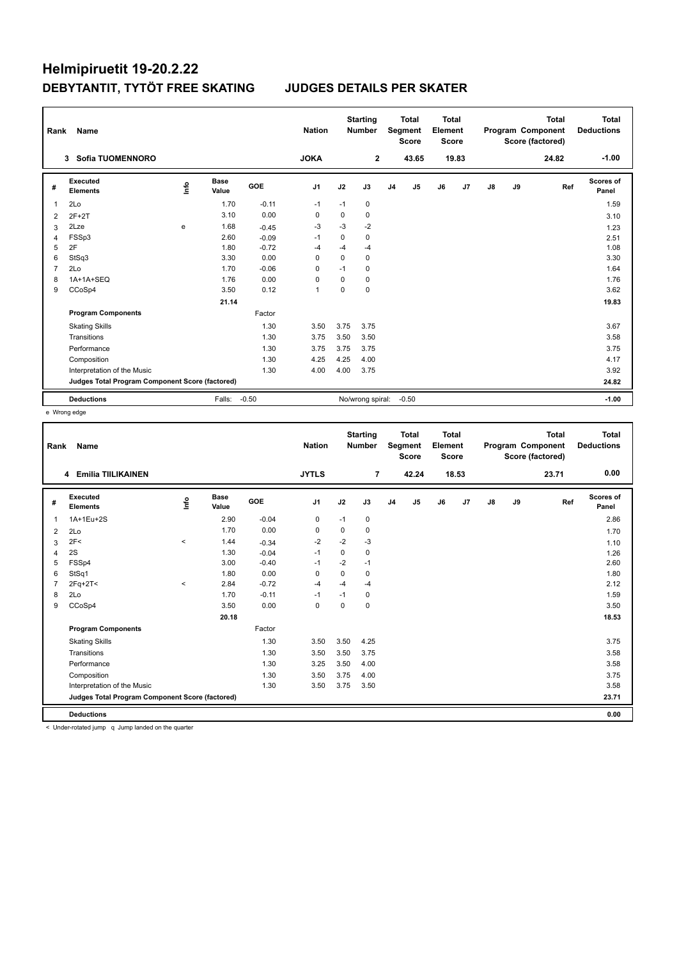# Helmipiruetit 19-20.2.22 DEBYTANTIT, TYTÖT FREE SKATING

### **JUDGES DETAILS PER SKATER**

| Rank           | Name                                            |                                  |               |         | <b>Nation</b>  |             | <b>Starting</b><br><b>Number</b> |                | <b>Total</b><br>Segment<br><b>Score</b> | <b>Total</b><br>Element<br><b>Score</b> |                |    |    | <b>Total</b><br>Program Component<br>Score (factored) | Total<br><b>Deductions</b> |
|----------------|-------------------------------------------------|----------------------------------|---------------|---------|----------------|-------------|----------------------------------|----------------|-----------------------------------------|-----------------------------------------|----------------|----|----|-------------------------------------------------------|----------------------------|
|                | Sofia TUOMENNORO<br>3                           |                                  |               |         | <b>JOKA</b>    |             | $\mathbf{2}$                     |                | 43.65                                   |                                         | 19.83          |    |    | 24.82                                                 | $-1.00$                    |
| #              | Executed<br><b>Elements</b>                     | $\mathop{\mathsf{Int}}\nolimits$ | Base<br>Value | GOE     | J <sub>1</sub> | J2          | J3                               | J <sub>4</sub> | J5                                      | J6                                      | J <sub>7</sub> | J8 | J9 | Ref                                                   | <b>Scores of</b><br>Panel  |
| 1              | 2Lo                                             |                                  | 1.70          | $-0.11$ | $-1$           | $-1$        | 0                                |                |                                         |                                         |                |    |    |                                                       | 1.59                       |
| $\overline{2}$ | $2F+2T$                                         |                                  | 3.10          | 0.00    | 0              | $\mathbf 0$ | $\mathbf 0$                      |                |                                         |                                         |                |    |    |                                                       | 3.10                       |
| 3              | 2Lze                                            | e                                | 1.68          | $-0.45$ | $-3$           | $-3$        | $-2$                             |                |                                         |                                         |                |    |    |                                                       | 1.23                       |
| $\overline{4}$ | FSSp3                                           |                                  | 2.60          | $-0.09$ | $-1$           | $\Omega$    | 0                                |                |                                         |                                         |                |    |    |                                                       | 2.51                       |
| 5              | 2F                                              |                                  | 1.80          | $-0.72$ | -4             | $-4$        | $-4$                             |                |                                         |                                         |                |    |    |                                                       | 1.08                       |
| 6              | StSq3                                           |                                  | 3.30          | 0.00    | 0              | $\mathbf 0$ | 0                                |                |                                         |                                         |                |    |    |                                                       | 3.30                       |
| $\overline{7}$ | 2Lo                                             |                                  | 1.70          | $-0.06$ | $\Omega$       | $-1$        | 0                                |                |                                         |                                         |                |    |    |                                                       | 1.64                       |
| 8              | 1A+1A+SEQ                                       |                                  | 1.76          | 0.00    | $\Omega$       | 0           | $\Omega$                         |                |                                         |                                         |                |    |    |                                                       | 1.76                       |
| 9              | CCoSp4                                          |                                  | 3.50          | 0.12    | $\overline{1}$ | $\mathbf 0$ | $\mathbf 0$                      |                |                                         |                                         |                |    |    |                                                       | 3.62                       |
|                |                                                 |                                  | 21.14         |         |                |             |                                  |                |                                         |                                         |                |    |    |                                                       | 19.83                      |
|                | <b>Program Components</b>                       |                                  |               | Factor  |                |             |                                  |                |                                         |                                         |                |    |    |                                                       |                            |
|                | <b>Skating Skills</b>                           |                                  |               | 1.30    | 3.50           | 3.75        | 3.75                             |                |                                         |                                         |                |    |    |                                                       | 3.67                       |
|                | Transitions                                     |                                  |               | 1.30    | 3.75           | 3.50        | 3.50                             |                |                                         |                                         |                |    |    |                                                       | 3.58                       |
|                | Performance                                     |                                  |               | 1.30    | 3.75           | 3.75        | 3.75                             |                |                                         |                                         |                |    |    |                                                       | 3.75                       |
|                | Composition                                     |                                  |               | 1.30    | 4.25           | 4.25        | 4.00                             |                |                                         |                                         |                |    |    |                                                       | 4.17                       |
|                | Interpretation of the Music                     |                                  |               | 1.30    | 4.00           | 4.00        | 3.75                             |                |                                         |                                         |                |    |    |                                                       | 3.92                       |
|                | Judges Total Program Component Score (factored) |                                  |               |         |                |             |                                  |                |                                         |                                         |                |    |    |                                                       | 24.82                      |
|                | <b>Deductions</b>                               |                                  | Falls:        | $-0.50$ |                |             | No/wrong spiral:                 |                | $-0.50$                                 |                                         |                |    |    |                                                       | $-1.00$                    |

e Wrong edge

| Rank           | Name                                              |         |                      |         | <b>Nation</b>  |          | <b>Starting</b><br><b>Number</b> |                | <b>Total</b><br>Segment<br><b>Score</b> | <b>Total</b><br>Element<br><b>Score</b> |       |    |    | <b>Total</b><br>Program Component<br>Score (factored) | <b>Total</b><br><b>Deductions</b> |
|----------------|---------------------------------------------------|---------|----------------------|---------|----------------|----------|----------------------------------|----------------|-----------------------------------------|-----------------------------------------|-------|----|----|-------------------------------------------------------|-----------------------------------|
|                | 4 Emilia TIILIKAINEN                              |         |                      |         | <b>JYTLS</b>   |          | 7                                |                | 42.24                                   |                                         | 18.53 |    |    | 23.71                                                 | 0.00                              |
| #              | Executed<br><b>Elements</b>                       | ١rfo    | <b>Base</b><br>Value | GOE     | J <sub>1</sub> | J2       | J3                               | J <sub>4</sub> | J5                                      | J6                                      | J7    | J8 | J9 | Ref                                                   | Scores of<br>Panel                |
| 1              | 1A+1Eu+2S                                         |         | 2.90                 | $-0.04$ | $\mathbf 0$    | $-1$     | 0                                |                |                                         |                                         |       |    |    |                                                       | 2.86                              |
| $\overline{2}$ | 2Lo                                               |         | 1.70                 | 0.00    | 0              | 0        | 0                                |                |                                         |                                         |       |    |    |                                                       | 1.70                              |
| 3              | 2F<                                               | $\prec$ | 1.44                 | $-0.34$ | $-2$           | $-2$     | $-3$                             |                |                                         |                                         |       |    |    |                                                       | 1.10                              |
| 4              | 2S                                                |         | 1.30                 | $-0.04$ | $-1$           | 0        | $\mathbf 0$                      |                |                                         |                                         |       |    |    |                                                       | 1.26                              |
| 5              | FSSp4                                             |         | 3.00                 | $-0.40$ | $-1$           | $-2$     | $-1$                             |                |                                         |                                         |       |    |    |                                                       | 2.60                              |
| 6              | StSq1                                             |         | 1.80                 | 0.00    | $\Omega$       | $\Omega$ | $\Omega$                         |                |                                         |                                         |       |    |    |                                                       | 1.80                              |
| $\overline{7}$ | $2Fq+2T<$                                         | $\prec$ | 2.84                 | $-0.72$ | $-4$           | $-4$     | $-4$                             |                |                                         |                                         |       |    |    |                                                       | 2.12                              |
| 8              | 2Lo                                               |         | 1.70                 | $-0.11$ | $-1$           | $-1$     | 0                                |                |                                         |                                         |       |    |    |                                                       | 1.59                              |
| 9              | CCoSp4                                            |         | 3.50                 | 0.00    | 0              | 0        | 0                                |                |                                         |                                         |       |    |    |                                                       | 3.50                              |
|                |                                                   |         | 20.18                |         |                |          |                                  |                |                                         |                                         |       |    |    |                                                       | 18.53                             |
|                | <b>Program Components</b>                         |         |                      | Factor  |                |          |                                  |                |                                         |                                         |       |    |    |                                                       |                                   |
|                | <b>Skating Skills</b>                             |         |                      | 1.30    | 3.50           | 3.50     | 4.25                             |                |                                         |                                         |       |    |    |                                                       | 3.75                              |
|                | Transitions                                       |         |                      | 1.30    | 3.50           | 3.50     | 3.75                             |                |                                         |                                         |       |    |    |                                                       | 3.58                              |
|                | Performance                                       |         |                      | 1.30    | 3.25           | 3.50     | 4.00                             |                |                                         |                                         |       |    |    |                                                       | 3.58                              |
|                | Composition                                       |         |                      | 1.30    | 3.50           | 3.75     | 4.00                             |                |                                         |                                         |       |    |    |                                                       | 3.75                              |
|                | Interpretation of the Music                       |         |                      | 1.30    | 3.50           | 3.75     | 3.50                             |                |                                         |                                         |       |    |    |                                                       | 3.58                              |
|                | Judges Total Program Component Score (factored)   |         |                      |         |                |          |                                  |                |                                         |                                         |       |    |    |                                                       | 23.71                             |
|                | <b>Deductions</b>                                 |         |                      |         |                |          |                                  |                |                                         |                                         |       |    |    |                                                       | 0.00                              |
|                | < Under-rotated jump a lump landed on the quarter |         |                      |         |                |          |                                  |                |                                         |                                         |       |    |    |                                                       |                                   |

Under-rotated jump q Jump landed on the quarter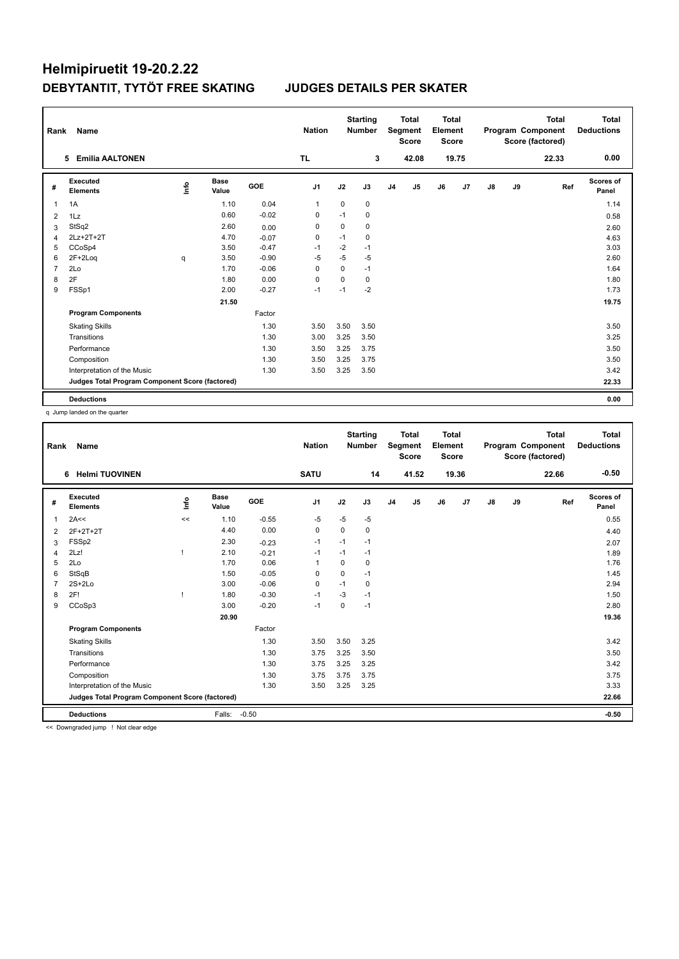| Rank           | Name                                            |    |               |         | <b>Nation</b>  |             | <b>Starting</b><br><b>Number</b> |                | <b>Total</b><br>Segment<br><b>Score</b> | <b>Total</b><br>Element<br><b>Score</b> |       |               |    | <b>Total</b><br>Program Component<br>Score (factored) | <b>Total</b><br><b>Deductions</b> |
|----------------|-------------------------------------------------|----|---------------|---------|----------------|-------------|----------------------------------|----------------|-----------------------------------------|-----------------------------------------|-------|---------------|----|-------------------------------------------------------|-----------------------------------|
|                | 5 Emilia AALTONEN                               |    |               |         | TL.            |             | 3                                |                | 42.08                                   |                                         | 19.75 |               |    | 22.33                                                 | 0.00                              |
| #              | Executed<br><b>Elements</b>                     | ۴ů | Base<br>Value | GOE     | J <sub>1</sub> | J2          | J3                               | J <sub>4</sub> | J5                                      | J6                                      | J7    | $\mathsf{J}8$ | J9 | Ref                                                   | <b>Scores of</b><br>Panel         |
| 1              | 1A                                              |    | 1.10          | 0.04    | $\mathbf{1}$   | $\mathbf 0$ | 0                                |                |                                         |                                         |       |               |    |                                                       | 1.14                              |
| 2              | 1Lz                                             |    | 0.60          | $-0.02$ | $\Omega$       | $-1$        | 0                                |                |                                         |                                         |       |               |    |                                                       | 0.58                              |
| 3              | StSq2                                           |    | 2.60          | 0.00    | 0              | $\Omega$    | 0                                |                |                                         |                                         |       |               |    |                                                       | 2.60                              |
| 4              | 2Lz+2T+2T                                       |    | 4.70          | $-0.07$ | $\mathbf 0$    | $-1$        | $\mathbf 0$                      |                |                                         |                                         |       |               |    |                                                       | 4.63                              |
| 5              | CCoSp4                                          |    | 3.50          | $-0.47$ | $-1$           | $-2$        | $-1$                             |                |                                         |                                         |       |               |    |                                                       | 3.03                              |
| 6              | $2F+2Log$                                       | q  | 3.50          | $-0.90$ | -5             | $-5$        | $-5$                             |                |                                         |                                         |       |               |    |                                                       | 2.60                              |
| $\overline{7}$ | 2Lo                                             |    | 1.70          | $-0.06$ | $\mathbf 0$    | $\mathbf 0$ | $-1$                             |                |                                         |                                         |       |               |    |                                                       | 1.64                              |
| 8              | 2F                                              |    | 1.80          | 0.00    | 0              | $\Omega$    | $\Omega$                         |                |                                         |                                         |       |               |    |                                                       | 1.80                              |
| 9              | FSSp1                                           |    | 2.00          | $-0.27$ | $-1$           | $-1$        | $-2$                             |                |                                         |                                         |       |               |    |                                                       | 1.73                              |
|                |                                                 |    | 21.50         |         |                |             |                                  |                |                                         |                                         |       |               |    |                                                       | 19.75                             |
|                | <b>Program Components</b>                       |    |               | Factor  |                |             |                                  |                |                                         |                                         |       |               |    |                                                       |                                   |
|                | <b>Skating Skills</b>                           |    |               | 1.30    | 3.50           | 3.50        | 3.50                             |                |                                         |                                         |       |               |    |                                                       | 3.50                              |
|                | Transitions                                     |    |               | 1.30    | 3.00           | 3.25        | 3.50                             |                |                                         |                                         |       |               |    |                                                       | 3.25                              |
|                | Performance                                     |    |               | 1.30    | 3.50           | 3.25        | 3.75                             |                |                                         |                                         |       |               |    |                                                       | 3.50                              |
|                | Composition                                     |    |               | 1.30    | 3.50           | 3.25        | 3.75                             |                |                                         |                                         |       |               |    |                                                       | 3.50                              |
|                | Interpretation of the Music                     |    |               | 1.30    | 3.50           | 3.25        | 3.50                             |                |                                         |                                         |       |               |    |                                                       | 3.42                              |
|                | Judges Total Program Component Score (factored) |    |               |         |                |             |                                  |                |                                         |                                         |       |               |    |                                                       | 22.33                             |
|                | <b>Deductions</b>                               |    |               |         |                |             |                                  |                |                                         |                                         |       |               |    |                                                       | 0.00                              |

q Jump landed on the quarter

| Rank           | Name                                            |            |                      |         | <b>Nation</b> |          | <b>Starting</b><br><b>Number</b> |                | <b>Total</b><br><b>Segment</b><br><b>Score</b> | Total<br>Element<br><b>Score</b> |       |               |    | <b>Total</b><br>Program Component<br>Score (factored) | Total<br><b>Deductions</b> |
|----------------|-------------------------------------------------|------------|----------------------|---------|---------------|----------|----------------------------------|----------------|------------------------------------------------|----------------------------------|-------|---------------|----|-------------------------------------------------------|----------------------------|
|                | <b>Helmi TUOVINEN</b><br>6                      |            |                      |         | <b>SATU</b>   |          | 14                               |                | 41.52                                          |                                  | 19.36 |               |    | 22.66                                                 | $-0.50$                    |
| #              | Executed<br><b>Elements</b>                     | <b>Lin</b> | <b>Base</b><br>Value | GOE     | J1            | J2       | J3                               | J <sub>4</sub> | J5                                             | J6                               | J7    | $\mathsf{J}8$ | J9 | Ref                                                   | <b>Scores of</b><br>Panel  |
| $\overline{1}$ | 2A<<                                            | <<         | 1.10                 | $-0.55$ | $-5$          | $-5$     | $-5$                             |                |                                                |                                  |       |               |    |                                                       | 0.55                       |
| 2              | 2F+2T+2T                                        |            | 4.40                 | 0.00    | 0             | 0        | 0                                |                |                                                |                                  |       |               |    |                                                       | 4.40                       |
| 3              | FSSp2                                           |            | 2.30                 | $-0.23$ | $-1$          | $-1$     | $-1$                             |                |                                                |                                  |       |               |    |                                                       | 2.07                       |
| 4              | 2Lz!                                            |            | 2.10                 | $-0.21$ | $-1$          | $-1$     | $-1$                             |                |                                                |                                  |       |               |    |                                                       | 1.89                       |
| 5              | 2Lo                                             |            | 1.70                 | 0.06    | 1             | $\Omega$ | 0                                |                |                                                |                                  |       |               |    |                                                       | 1.76                       |
| 6              | StSqB                                           |            | 1.50                 | $-0.05$ | $\Omega$      | $\Omega$ | $-1$                             |                |                                                |                                  |       |               |    |                                                       | 1.45                       |
| $\overline{7}$ | $2S+2Lo$                                        |            | 3.00                 | $-0.06$ | 0             | $-1$     | 0                                |                |                                                |                                  |       |               |    |                                                       | 2.94                       |
| 8              | 2F!                                             |            | 1.80                 | $-0.30$ | $-1$          | $-3$     | $-1$                             |                |                                                |                                  |       |               |    |                                                       | 1.50                       |
| 9              | CCoSp3                                          |            | 3.00                 | $-0.20$ | $-1$          | $\Omega$ | $-1$                             |                |                                                |                                  |       |               |    |                                                       | 2.80                       |
|                |                                                 |            | 20.90                |         |               |          |                                  |                |                                                |                                  |       |               |    |                                                       | 19.36                      |
|                | <b>Program Components</b>                       |            |                      | Factor  |               |          |                                  |                |                                                |                                  |       |               |    |                                                       |                            |
|                | <b>Skating Skills</b>                           |            |                      | 1.30    | 3.50          | 3.50     | 3.25                             |                |                                                |                                  |       |               |    |                                                       | 3.42                       |
|                | Transitions                                     |            |                      | 1.30    | 3.75          | 3.25     | 3.50                             |                |                                                |                                  |       |               |    |                                                       | 3.50                       |
|                | Performance                                     |            |                      | 1.30    | 3.75          | 3.25     | 3.25                             |                |                                                |                                  |       |               |    |                                                       | 3.42                       |
|                | Composition                                     |            |                      | 1.30    | 3.75          | 3.75     | 3.75                             |                |                                                |                                  |       |               |    |                                                       | 3.75                       |
|                | Interpretation of the Music                     |            |                      | 1.30    | 3.50          | 3.25     | 3.25                             |                |                                                |                                  |       |               |    |                                                       | 3.33                       |
|                | Judges Total Program Component Score (factored) |            |                      |         |               |          |                                  |                |                                                |                                  |       |               |    |                                                       | 22.66                      |
|                | <b>Deductions</b>                               |            | Falls:               | $-0.50$ |               |          |                                  |                |                                                |                                  |       |               |    |                                                       | $-0.50$                    |
| $\sim$ $\sim$  |                                                 |            |                      |         |               |          |                                  |                |                                                |                                  |       |               |    |                                                       |                            |

<< Downgraded jump ! Not clear edge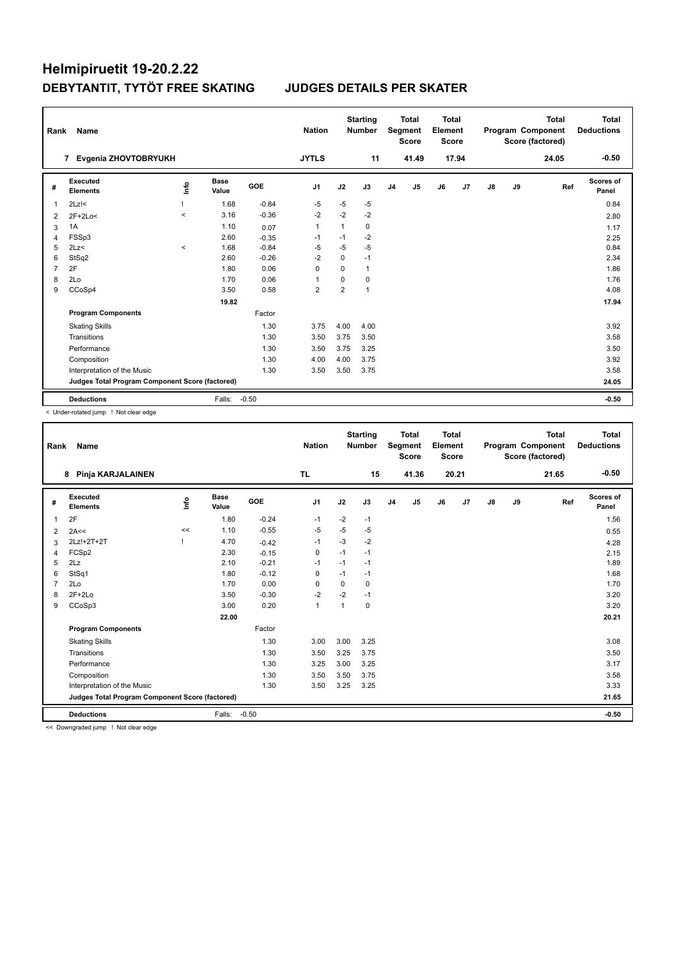| Rank           | Name                                            |                                  |               |            | <b>Nation</b>  |                | <b>Starting</b><br><b>Number</b> |                | Total<br>Segment<br><b>Score</b> | <b>Total</b><br>Element<br><b>Score</b> |       |               |    | Total<br>Program Component<br>Score (factored) | Total<br><b>Deductions</b> |
|----------------|-------------------------------------------------|----------------------------------|---------------|------------|----------------|----------------|----------------------------------|----------------|----------------------------------|-----------------------------------------|-------|---------------|----|------------------------------------------------|----------------------------|
|                | Evgenia ZHOVTOBRYUKH<br>7                       |                                  |               |            | <b>JYTLS</b>   |                | 11                               |                | 41.49                            |                                         | 17.94 |               |    | 24.05                                          | $-0.50$                    |
| #              | Executed<br><b>Elements</b>                     | $\mathop{\mathsf{Irr}}\nolimits$ | Base<br>Value | <b>GOE</b> | J <sub>1</sub> | J2             | J3                               | J <sub>4</sub> | J5                               | J6                                      | J7    | $\mathsf{J}8$ | J9 | Ref                                            | <b>Scores of</b><br>Panel  |
| 1              | $2Lz$ !<                                        |                                  | 1.68          | $-0.84$    | -5             | $-5$           | $-5$                             |                |                                  |                                         |       |               |    |                                                | 0.84                       |
| 2              | $2F+2Lo<$                                       | $\prec$                          | 3.16          | $-0.36$    | $-2$           | $-2$           | $-2$                             |                |                                  |                                         |       |               |    |                                                | 2.80                       |
| 3              | 1A                                              |                                  | 1.10          | 0.07       | $\mathbf{1}$   | 1              | 0                                |                |                                  |                                         |       |               |    |                                                | 1.17                       |
| 4              | FSSp3                                           |                                  | 2.60          | $-0.35$    | -1             | $-1$           | $-2$                             |                |                                  |                                         |       |               |    |                                                | 2.25                       |
| 5              | 2Lz                                             | $\prec$                          | 1.68          | $-0.84$    | $-5$           | $-5$           | $-5$                             |                |                                  |                                         |       |               |    |                                                | 0.84                       |
| 6              | StSq2                                           |                                  | 2.60          | $-0.26$    | $-2$           | $\mathbf 0$    | $-1$                             |                |                                  |                                         |       |               |    |                                                | 2.34                       |
| $\overline{7}$ | 2F                                              |                                  | 1.80          | 0.06       | 0              | $\Omega$       | $\mathbf{1}$                     |                |                                  |                                         |       |               |    |                                                | 1.86                       |
| 8              | 2Lo                                             |                                  | 1.70          | 0.06       | 1              | 0              | 0                                |                |                                  |                                         |       |               |    |                                                | 1.76                       |
| 9              | CCoSp4                                          |                                  | 3.50          | 0.58       | $\overline{2}$ | $\overline{2}$ | $\mathbf{1}$                     |                |                                  |                                         |       |               |    |                                                | 4.08                       |
|                |                                                 |                                  | 19.82         |            |                |                |                                  |                |                                  |                                         |       |               |    |                                                | 17.94                      |
|                | <b>Program Components</b>                       |                                  |               | Factor     |                |                |                                  |                |                                  |                                         |       |               |    |                                                |                            |
|                | <b>Skating Skills</b>                           |                                  |               | 1.30       | 3.75           | 4.00           | 4.00                             |                |                                  |                                         |       |               |    |                                                | 3.92                       |
|                | Transitions                                     |                                  |               | 1.30       | 3.50           | 3.75           | 3.50                             |                |                                  |                                         |       |               |    |                                                | 3.58                       |
|                | Performance                                     |                                  |               | 1.30       | 3.50           | 3.75           | 3.25                             |                |                                  |                                         |       |               |    |                                                | 3.50                       |
|                | Composition                                     |                                  |               | 1.30       | 4.00           | 4.00           | 3.75                             |                |                                  |                                         |       |               |    |                                                | 3.92                       |
|                | Interpretation of the Music                     |                                  |               | 1.30       | 3.50           | 3.50           | 3.75                             |                |                                  |                                         |       |               |    |                                                | 3.58                       |
|                | Judges Total Program Component Score (factored) |                                  |               |            |                |                |                                  |                |                                  |                                         |       |               |    |                                                | 24.05                      |
|                | <b>Deductions</b>                               |                                  | Falls:        | $-0.50$    |                |                |                                  |                |                                  |                                         |       |               |    |                                                | $-0.50$                    |

< Under-rotated jump ! Not clear edge

| Rank           | Name                                            |      |                      |         | <b>Nation</b>  |          | <b>Starting</b><br><b>Number</b> |                | <b>Total</b><br>Segment<br><b>Score</b> | <b>Total</b><br>Element<br><b>Score</b> |       |               |    | Total<br>Program Component<br>Score (factored) | <b>Total</b><br><b>Deductions</b> |
|----------------|-------------------------------------------------|------|----------------------|---------|----------------|----------|----------------------------------|----------------|-----------------------------------------|-----------------------------------------|-------|---------------|----|------------------------------------------------|-----------------------------------|
|                | Pinja KARJALAINEN<br>8                          |      |                      |         | <b>TL</b>      |          | 15                               |                | 41.36                                   |                                         | 20.21 |               |    | 21.65                                          | $-0.50$                           |
| #              | <b>Executed</b><br><b>Elements</b>              | lnfo | <b>Base</b><br>Value | GOE     | J <sub>1</sub> | J2       | J3                               | J <sub>4</sub> | J5                                      | J6                                      | J7    | $\mathsf{J}8$ | J9 | Ref                                            | <b>Scores of</b><br>Panel         |
| 1              | 2F                                              |      | 1.80                 | $-0.24$ | $-1$           | $-2$     | $-1$                             |                |                                         |                                         |       |               |    |                                                | 1.56                              |
| $\overline{2}$ | 2A<<                                            | <<   | 1.10                 | $-0.55$ | $-5$           | $-5$     | $-5$                             |                |                                         |                                         |       |               |    |                                                | 0.55                              |
| 3              | 2Lz!+2T+2T                                      |      | 4.70                 | $-0.42$ | $-1$           | $-3$     | $-2$                             |                |                                         |                                         |       |               |    |                                                | 4.28                              |
| 4              | FCSp2                                           |      | 2.30                 | $-0.15$ | $\mathbf 0$    | $-1$     | $-1$                             |                |                                         |                                         |       |               |    |                                                | 2.15                              |
| 5              | 2Lz                                             |      | 2.10                 | $-0.21$ | $-1$           | $-1$     | $-1$                             |                |                                         |                                         |       |               |    |                                                | 1.89                              |
| 6              | StSq1                                           |      | 1.80                 | $-0.12$ | 0              | $-1$     | $-1$                             |                |                                         |                                         |       |               |    |                                                | 1.68                              |
| $\overline{7}$ | 2Lo                                             |      | 1.70                 | 0.00    | 0              | $\Omega$ | 0                                |                |                                         |                                         |       |               |    |                                                | 1.70                              |
| 8              | $2F+2Lo$                                        |      | 3.50                 | $-0.30$ | $-2$           | $-2$     | $-1$                             |                |                                         |                                         |       |               |    |                                                | 3.20                              |
| 9              | CCoSp3                                          |      | 3.00                 | 0.20    | $\mathbf{1}$   |          | 0                                |                |                                         |                                         |       |               |    |                                                | 3.20                              |
|                |                                                 |      | 22.00                |         |                |          |                                  |                |                                         |                                         |       |               |    |                                                | 20.21                             |
|                | <b>Program Components</b>                       |      |                      | Factor  |                |          |                                  |                |                                         |                                         |       |               |    |                                                |                                   |
|                | <b>Skating Skills</b>                           |      |                      | 1.30    | 3.00           | 3.00     | 3.25                             |                |                                         |                                         |       |               |    |                                                | 3.08                              |
|                | Transitions                                     |      |                      | 1.30    | 3.50           | 3.25     | 3.75                             |                |                                         |                                         |       |               |    |                                                | 3.50                              |
|                | Performance                                     |      |                      | 1.30    | 3.25           | 3.00     | 3.25                             |                |                                         |                                         |       |               |    |                                                | 3.17                              |
|                | Composition                                     |      |                      | 1.30    | 3.50           | 3.50     | 3.75                             |                |                                         |                                         |       |               |    |                                                | 3.58                              |
|                | Interpretation of the Music                     |      |                      | 1.30    | 3.50           | 3.25     | 3.25                             |                |                                         |                                         |       |               |    |                                                | 3.33                              |
|                | Judges Total Program Component Score (factored) |      |                      |         |                |          |                                  |                |                                         |                                         |       |               |    |                                                | 21.65                             |
|                | <b>Deductions</b>                               |      | Falls:               | $-0.50$ |                |          |                                  |                |                                         |                                         |       |               |    |                                                | $-0.50$                           |
|                | .                                               |      |                      |         |                |          |                                  |                |                                         |                                         |       |               |    |                                                |                                   |

<< Downgraded jump ! Not clear edge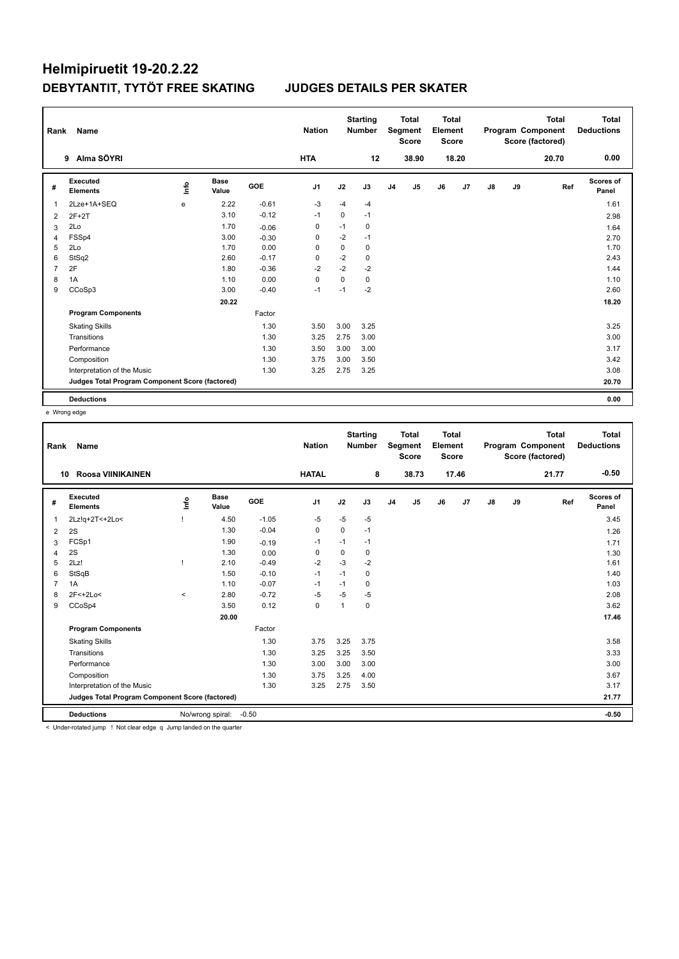# Helmipiruetit 19-20.2.22 DEBYTANTIT, TYTÖT FREE SKATING

### **JUDGES DETAILS PER SKATER**

| Rank           | Name                                            |      |                      |            | <b>Nation</b>  |             | <b>Starting</b><br><b>Number</b> |                | <b>Total</b><br>Segment<br><b>Score</b> | <b>Total</b><br>Element<br><b>Score</b> |       |               |    | <b>Total</b><br>Program Component<br>Score (factored) | Total<br><b>Deductions</b> |
|----------------|-------------------------------------------------|------|----------------------|------------|----------------|-------------|----------------------------------|----------------|-----------------------------------------|-----------------------------------------|-------|---------------|----|-------------------------------------------------------|----------------------------|
|                | 9 Alma SÖYRI                                    |      |                      |            | <b>HTA</b>     |             | 12                               |                | 38.90                                   |                                         | 18.20 |               |    | 20.70                                                 | 0.00                       |
| #              | Executed<br><b>Elements</b>                     | ١nfo | <b>Base</b><br>Value | <b>GOE</b> | J <sub>1</sub> | J2          | J3                               | J <sub>4</sub> | J5                                      | J6                                      | J7    | $\mathsf{J}8$ | J9 | Ref                                                   | <b>Scores of</b><br>Panel  |
| 1              | 2Lze+1A+SEQ                                     | e    | 2.22                 | $-0.61$    | $-3$           | $-4$        | $-4$                             |                |                                         |                                         |       |               |    |                                                       | 1.61                       |
| 2              | $2F+2T$                                         |      | 3.10                 | $-0.12$    | $-1$           | $\mathbf 0$ | $-1$                             |                |                                         |                                         |       |               |    |                                                       | 2.98                       |
| 3              | 2Lo                                             |      | 1.70                 | $-0.06$    | 0              | $-1$        | 0                                |                |                                         |                                         |       |               |    |                                                       | 1.64                       |
| 4              | FSSp4                                           |      | 3.00                 | $-0.30$    | 0              | $-2$        | $-1$                             |                |                                         |                                         |       |               |    |                                                       | 2.70                       |
| 5              | 2Lo                                             |      | 1.70                 | 0.00       | $\mathbf 0$    | $\mathbf 0$ | $\mathbf 0$                      |                |                                         |                                         |       |               |    |                                                       | 1.70                       |
| 6              | StSq2                                           |      | 2.60                 | $-0.17$    | 0              | $-2$        | 0                                |                |                                         |                                         |       |               |    |                                                       | 2.43                       |
| $\overline{7}$ | 2F                                              |      | 1.80                 | $-0.36$    | $-2$           | $-2$        | $-2$                             |                |                                         |                                         |       |               |    |                                                       | 1.44                       |
| 8              | 1A                                              |      | 1.10                 | 0.00       | 0              | $\mathbf 0$ | 0                                |                |                                         |                                         |       |               |    |                                                       | 1.10                       |
| 9              | CCoSp3                                          |      | 3.00                 | $-0.40$    | $-1$           | $-1$        | $-2$                             |                |                                         |                                         |       |               |    |                                                       | 2.60                       |
|                |                                                 |      | 20.22                |            |                |             |                                  |                |                                         |                                         |       |               |    |                                                       | 18.20                      |
|                | <b>Program Components</b>                       |      |                      | Factor     |                |             |                                  |                |                                         |                                         |       |               |    |                                                       |                            |
|                | <b>Skating Skills</b>                           |      |                      | 1.30       | 3.50           | 3.00        | 3.25                             |                |                                         |                                         |       |               |    |                                                       | 3.25                       |
|                | Transitions                                     |      |                      | 1.30       | 3.25           | 2.75        | 3.00                             |                |                                         |                                         |       |               |    |                                                       | 3.00                       |
|                | Performance                                     |      |                      | 1.30       | 3.50           | 3.00        | 3.00                             |                |                                         |                                         |       |               |    |                                                       | 3.17                       |
|                | Composition                                     |      |                      | 1.30       | 3.75           | 3.00        | 3.50                             |                |                                         |                                         |       |               |    |                                                       | 3.42                       |
|                | Interpretation of the Music                     |      |                      | 1.30       | 3.25           | 2.75        | 3.25                             |                |                                         |                                         |       |               |    |                                                       | 3.08                       |
|                | Judges Total Program Component Score (factored) |      |                      |            |                |             |                                  |                |                                         |                                         |       |               |    |                                                       | 20.70                      |
|                | <b>Deductions</b>                               |      |                      |            |                |             |                                  |                |                                         |                                         |       |               |    |                                                       | 0.00                       |

e Wrong edge

| Rank           | Name                                                                                           |             |                      |            | <b>Nation</b>  |              | <b>Starting</b><br><b>Number</b> |                | <b>Total</b><br>Segment<br><b>Score</b> | <b>Total</b><br>Element<br><b>Score</b> |                |    |    | <b>Total</b><br>Program Component<br>Score (factored) | Total<br><b>Deductions</b> |
|----------------|------------------------------------------------------------------------------------------------|-------------|----------------------|------------|----------------|--------------|----------------------------------|----------------|-----------------------------------------|-----------------------------------------|----------------|----|----|-------------------------------------------------------|----------------------------|
| 10             | Roosa VIINIKAINEN                                                                              |             |                      |            | <b>HATAL</b>   |              | 8                                |                | 38.73                                   |                                         | 17.46          |    |    | 21.77                                                 | $-0.50$                    |
| #              | Executed<br><b>Elements</b>                                                                    | <u>info</u> | <b>Base</b><br>Value | <b>GOE</b> | J <sub>1</sub> | J2           | J3                               | J <sub>4</sub> | J5                                      | J6                                      | J <sub>7</sub> | J8 | J9 | Ref                                                   | Scores of<br>Panel         |
| $\overline{1}$ | 2Lz!q+2T<+2Lo<                                                                                 |             | 4.50                 | $-1.05$    | $-5$           | $-5$         | $-5$                             |                |                                         |                                         |                |    |    |                                                       | 3.45                       |
| $\overline{2}$ | 2S                                                                                             |             | 1.30                 | $-0.04$    | 0              | 0            | $-1$                             |                |                                         |                                         |                |    |    |                                                       | 1.26                       |
| 3              | FCSp1                                                                                          |             | 1.90                 | $-0.19$    | $-1$           | $-1$         | $-1$                             |                |                                         |                                         |                |    |    |                                                       | 1.71                       |
| $\overline{4}$ | 2S                                                                                             |             | 1.30                 | 0.00       | $\mathbf 0$    | 0            | 0                                |                |                                         |                                         |                |    |    |                                                       | 1.30                       |
| 5              | 2Lz!                                                                                           |             | 2.10                 | $-0.49$    | $-2$           | $-3$         | $-2$                             |                |                                         |                                         |                |    |    |                                                       | 1.61                       |
| 6              | StSqB                                                                                          |             | 1.50                 | $-0.10$    | $-1$           | $-1$         | 0                                |                |                                         |                                         |                |    |    |                                                       | 1.40                       |
| $\overline{7}$ | 1A                                                                                             |             | 1.10                 | $-0.07$    | $-1$           | $-1$         | 0                                |                |                                         |                                         |                |    |    |                                                       | 1.03                       |
| 8              | 2F<+2Lo<                                                                                       | $\,<$       | 2.80                 | $-0.72$    | -5             | $-5$         | -5                               |                |                                         |                                         |                |    |    |                                                       | 2.08                       |
| 9              | CCoSp4                                                                                         |             | 3.50                 | 0.12       | 0              | $\mathbf{1}$ | 0                                |                |                                         |                                         |                |    |    |                                                       | 3.62                       |
|                |                                                                                                |             | 20.00                |            |                |              |                                  |                |                                         |                                         |                |    |    |                                                       | 17.46                      |
|                | <b>Program Components</b>                                                                      |             |                      | Factor     |                |              |                                  |                |                                         |                                         |                |    |    |                                                       |                            |
|                | <b>Skating Skills</b>                                                                          |             |                      | 1.30       | 3.75           | 3.25         | 3.75                             |                |                                         |                                         |                |    |    |                                                       | 3.58                       |
|                | Transitions                                                                                    |             |                      | 1.30       | 3.25           | 3.25         | 3.50                             |                |                                         |                                         |                |    |    |                                                       | 3.33                       |
|                | Performance                                                                                    |             |                      | 1.30       | 3.00           | 3.00         | 3.00                             |                |                                         |                                         |                |    |    |                                                       | 3.00                       |
|                | Composition                                                                                    |             |                      | 1.30       | 3.75           | 3.25         | 4.00                             |                |                                         |                                         |                |    |    |                                                       | 3.67                       |
|                | Interpretation of the Music                                                                    |             |                      | 1.30       | 3.25           | 2.75         | 3.50                             |                |                                         |                                         |                |    |    |                                                       | 3.17                       |
|                | Judges Total Program Component Score (factored)                                                |             |                      |            |                |              |                                  |                |                                         |                                         |                |    |    |                                                       | 21.77                      |
|                |                                                                                                |             |                      |            |                |              |                                  |                |                                         |                                         |                |    |    |                                                       |                            |
|                | <b>Deductions</b><br>$\sim$ Under retated jump. I Not clear added a lump landed on the quarter |             | No/wrong spiral:     | $-0.50$    |                |              |                                  |                |                                         |                                         |                |    |    |                                                       | $-0.50$                    |

< Under-rotated jump ! Not clear edge q Jump landed on the quarter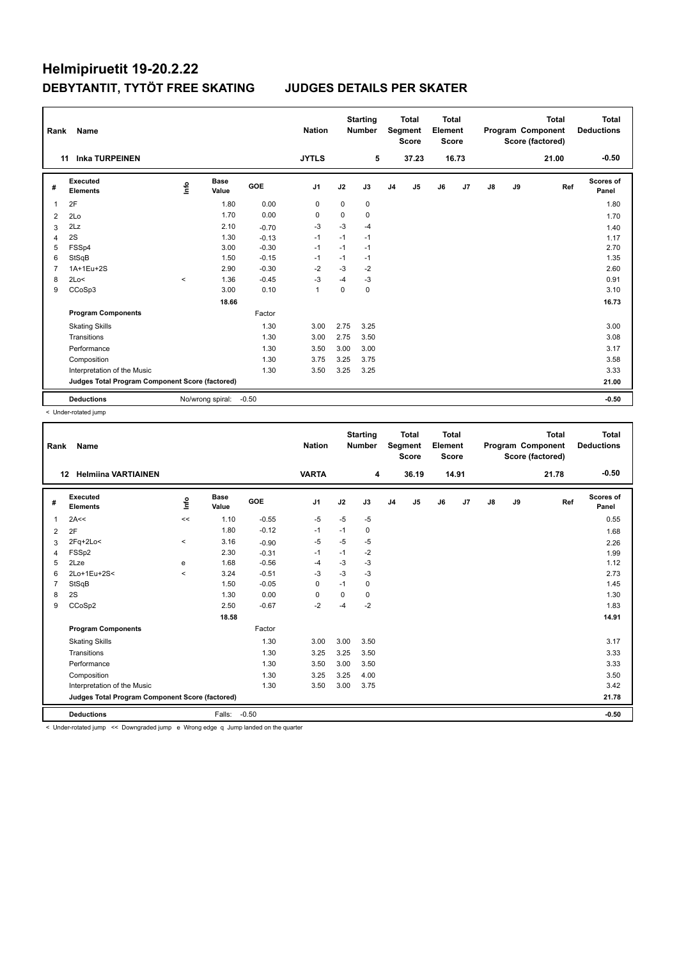| Rank           | Name                                            |         |                      |         | <b>Nation</b>  |             | <b>Starting</b><br><b>Number</b> |                | <b>Total</b><br>Segment<br><b>Score</b> | <b>Total</b><br>Element<br><b>Score</b> |       |               |    | <b>Total</b><br>Program Component<br>Score (factored) | Total<br><b>Deductions</b> |
|----------------|-------------------------------------------------|---------|----------------------|---------|----------------|-------------|----------------------------------|----------------|-----------------------------------------|-----------------------------------------|-------|---------------|----|-------------------------------------------------------|----------------------------|
|                | <b>Inka TURPEINEN</b><br>11                     |         |                      |         | <b>JYTLS</b>   |             | 5                                |                | 37.23                                   |                                         | 16.73 |               |    | 21.00                                                 | $-0.50$                    |
| #              | Executed<br><b>Elements</b>                     | ١nfo    | <b>Base</b><br>Value | GOE     | J1             | J2          | J3                               | J <sub>4</sub> | J5                                      | J6                                      | J7    | $\mathsf{J}8$ | J9 | Ref                                                   | <b>Scores of</b><br>Panel  |
| 1              | 2F                                              |         | 1.80                 | 0.00    | 0              | $\mathbf 0$ | 0                                |                |                                         |                                         |       |               |    |                                                       | 1.80                       |
| 2              | 2Lo                                             |         | 1.70                 | 0.00    | 0              | 0           | 0                                |                |                                         |                                         |       |               |    |                                                       | 1.70                       |
| 3              | 2Lz                                             |         | 2.10                 | $-0.70$ | $-3$           | $-3$        | $-4$                             |                |                                         |                                         |       |               |    |                                                       | 1.40                       |
| 4              | 2S                                              |         | 1.30                 | $-0.13$ | $-1$           | $-1$        | $-1$                             |                |                                         |                                         |       |               |    |                                                       | 1.17                       |
| 5              | FSSp4                                           |         | 3.00                 | $-0.30$ | $-1$           | $-1$        | $-1$                             |                |                                         |                                         |       |               |    |                                                       | 2.70                       |
| 6              | StSqB                                           |         | 1.50                 | $-0.15$ | $-1$           | $-1$        | $-1$                             |                |                                         |                                         |       |               |    |                                                       | 1.35                       |
| $\overline{7}$ | 1A+1Eu+2S                                       |         | 2.90                 | $-0.30$ | $-2$           | $-3$        | $-2$                             |                |                                         |                                         |       |               |    |                                                       | 2.60                       |
| 8              | 2Lo<                                            | $\prec$ | 1.36                 | $-0.45$ | -3             | $-4$        | $-3$                             |                |                                         |                                         |       |               |    |                                                       | 0.91                       |
| 9              | CCoSp3                                          |         | 3.00                 | 0.10    | $\overline{1}$ | $\Omega$    | 0                                |                |                                         |                                         |       |               |    |                                                       | 3.10                       |
|                |                                                 |         | 18.66                |         |                |             |                                  |                |                                         |                                         |       |               |    |                                                       | 16.73                      |
|                | <b>Program Components</b>                       |         |                      | Factor  |                |             |                                  |                |                                         |                                         |       |               |    |                                                       |                            |
|                | <b>Skating Skills</b>                           |         |                      | 1.30    | 3.00           | 2.75        | 3.25                             |                |                                         |                                         |       |               |    |                                                       | 3.00                       |
|                | Transitions                                     |         |                      | 1.30    | 3.00           | 2.75        | 3.50                             |                |                                         |                                         |       |               |    |                                                       | 3.08                       |
|                | Performance                                     |         |                      | 1.30    | 3.50           | 3.00        | 3.00                             |                |                                         |                                         |       |               |    |                                                       | 3.17                       |
|                | Composition                                     |         |                      | 1.30    | 3.75           | 3.25        | 3.75                             |                |                                         |                                         |       |               |    |                                                       | 3.58                       |
|                | Interpretation of the Music                     |         |                      | 1.30    | 3.50           | 3.25        | 3.25                             |                |                                         |                                         |       |               |    |                                                       | 3.33                       |
|                | Judges Total Program Component Score (factored) |         |                      |         |                |             |                                  |                |                                         |                                         |       |               |    |                                                       | 21.00                      |
|                | <b>Deductions</b>                               |         | No/wrong spiral:     | $-0.50$ |                |             |                                  |                |                                         |                                         |       |               |    |                                                       | $-0.50$                    |

< Under-rotated jump

| Rank           | Name                                                                                                     |         |                      |            | <b>Nation</b>  |      | <b>Starting</b><br><b>Number</b> |                | <b>Total</b><br><b>Segment</b><br><b>Score</b> | <b>Total</b><br>Element<br><b>Score</b> |                |    |    | <b>Total</b><br>Program Component<br>Score (factored) | Total<br><b>Deductions</b> |
|----------------|----------------------------------------------------------------------------------------------------------|---------|----------------------|------------|----------------|------|----------------------------------|----------------|------------------------------------------------|-----------------------------------------|----------------|----|----|-------------------------------------------------------|----------------------------|
| 12             | <b>Helmiina VARTIAINEN</b>                                                                               |         |                      |            | <b>VARTA</b>   |      | 4                                |                | 36.19                                          |                                         | 14.91          |    |    | 21.78                                                 | $-0.50$                    |
| #              | Executed<br><b>Elements</b>                                                                              | info    | <b>Base</b><br>Value | <b>GOE</b> | J <sub>1</sub> | J2   | J3                               | J <sub>4</sub> | J <sub>5</sub>                                 | J6                                      | J <sub>7</sub> | J8 | J9 | Ref                                                   | <b>Scores of</b><br>Panel  |
| 1              | 2A<<                                                                                                     | <<      | 1.10                 | $-0.55$    | $-5$           | $-5$ | $-5$                             |                |                                                |                                         |                |    |    |                                                       | 0.55                       |
| 2              | 2F                                                                                                       |         | 1.80                 | $-0.12$    | $-1$           | $-1$ | 0                                |                |                                                |                                         |                |    |    |                                                       | 1.68                       |
| 3              | $2Fq+2Lo<$                                                                                               | $\prec$ | 3.16                 | $-0.90$    | $-5$           | $-5$ | $-5$                             |                |                                                |                                         |                |    |    |                                                       | 2.26                       |
| 4              | FSSp2                                                                                                    |         | 2.30                 | $-0.31$    | $-1$           | $-1$ | $-2$                             |                |                                                |                                         |                |    |    |                                                       | 1.99                       |
| 5              | 2Lze                                                                                                     | e       | 1.68                 | $-0.56$    | $-4$           | $-3$ | $-3$                             |                |                                                |                                         |                |    |    |                                                       | 1.12                       |
| 6              | 2Lo+1Eu+2S<                                                                                              | $\prec$ | 3.24                 | $-0.51$    | -3             | $-3$ | $-3$                             |                |                                                |                                         |                |    |    |                                                       | 2.73                       |
| $\overline{7}$ | StSqB                                                                                                    |         | 1.50                 | $-0.05$    | $\mathbf 0$    | $-1$ | 0                                |                |                                                |                                         |                |    |    |                                                       | 1.45                       |
| 8              | 2S                                                                                                       |         | 1.30                 | 0.00       | 0              | 0    | 0                                |                |                                                |                                         |                |    |    |                                                       | 1.30                       |
| 9              | CCoSp2                                                                                                   |         | 2.50                 | $-0.67$    | $-2$           | -4   | $-2$                             |                |                                                |                                         |                |    |    |                                                       | 1.83                       |
|                |                                                                                                          |         | 18.58                |            |                |      |                                  |                |                                                |                                         |                |    |    |                                                       | 14.91                      |
|                | <b>Program Components</b>                                                                                |         |                      | Factor     |                |      |                                  |                |                                                |                                         |                |    |    |                                                       |                            |
|                | <b>Skating Skills</b>                                                                                    |         |                      | 1.30       | 3.00           | 3.00 | 3.50                             |                |                                                |                                         |                |    |    |                                                       | 3.17                       |
|                | Transitions                                                                                              |         |                      | 1.30       | 3.25           | 3.25 | 3.50                             |                |                                                |                                         |                |    |    |                                                       | 3.33                       |
|                | Performance                                                                                              |         |                      | 1.30       | 3.50           | 3.00 | 3.50                             |                |                                                |                                         |                |    |    |                                                       | 3.33                       |
|                | Composition                                                                                              |         |                      | 1.30       | 3.25           | 3.25 | 4.00                             |                |                                                |                                         |                |    |    |                                                       | 3.50                       |
|                | Interpretation of the Music                                                                              |         |                      | 1.30       | 3.50           | 3.00 | 3.75                             |                |                                                |                                         |                |    |    |                                                       | 3.42                       |
|                | Judges Total Program Component Score (factored)                                                          |         |                      |            |                |      |                                  |                |                                                |                                         |                |    |    |                                                       | 21.78                      |
|                | <b>Deductions</b>                                                                                        |         | Falls:               | $-0.50$    |                |      |                                  |                |                                                |                                         |                |    |    |                                                       | $-0.50$                    |
|                | a Theological Action of the Commission of Service of AMS and a deal of these teachers are the commission |         |                      |            |                |      |                                  |                |                                                |                                         |                |    |    |                                                       |                            |

< Under-rotated jump << Downgraded jump e Wrong edge q Jump landed on the quarter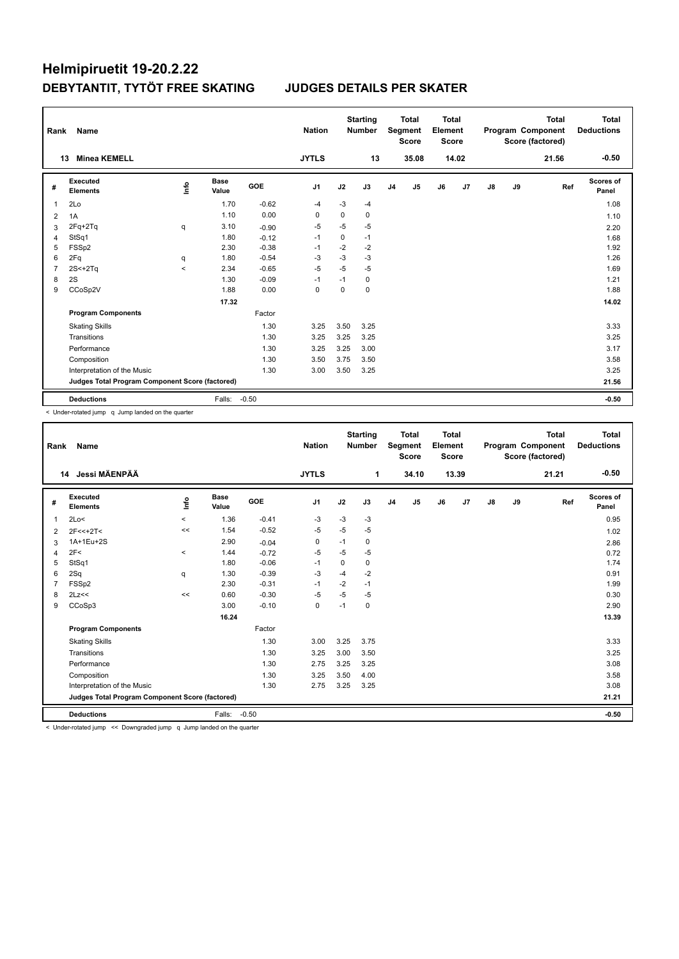| Rank           | Name                                            |       |                      |            | <b>Nation</b>  |             | <b>Starting</b><br><b>Number</b> |                | <b>Total</b><br>Segment<br><b>Score</b> | <b>Total</b><br>Element<br><b>Score</b> |       |    |    | <b>Total</b><br>Program Component<br>Score (factored) | Total<br><b>Deductions</b> |
|----------------|-------------------------------------------------|-------|----------------------|------------|----------------|-------------|----------------------------------|----------------|-----------------------------------------|-----------------------------------------|-------|----|----|-------------------------------------------------------|----------------------------|
|                | <b>Minea KEMELL</b><br>13                       |       |                      |            | <b>JYTLS</b>   |             | 13                               |                | 35.08                                   |                                         | 14.02 |    |    | 21.56                                                 | $-0.50$                    |
| #              | <b>Executed</b><br><b>Elements</b>              | lnfo  | <b>Base</b><br>Value | <b>GOE</b> | J <sub>1</sub> | J2          | J3                               | J <sub>4</sub> | J5                                      | J6                                      | J7    | J8 | J9 | Ref                                                   | <b>Scores of</b><br>Panel  |
| 1              | 2Lo                                             |       | 1.70                 | $-0.62$    | $-4$           | $-3$        | -4                               |                |                                         |                                         |       |    |    |                                                       | 1.08                       |
| $\overline{2}$ | 1A                                              |       | 1.10                 | 0.00       | $\Omega$       | 0           | 0                                |                |                                         |                                         |       |    |    |                                                       | 1.10                       |
| 3              | $2Fq+2Tq$                                       | q     | 3.10                 | $-0.90$    | $-5$           | $-5$        | $-5$                             |                |                                         |                                         |       |    |    |                                                       | 2.20                       |
| $\overline{4}$ | StSq1                                           |       | 1.80                 | $-0.12$    | $-1$           | $\mathbf 0$ | $-1$                             |                |                                         |                                         |       |    |    |                                                       | 1.68                       |
| 5              | FSSp2                                           |       | 2.30                 | $-0.38$    | $-1$           | $-2$        | $-2$                             |                |                                         |                                         |       |    |    |                                                       | 1.92                       |
| 6              | 2Fq                                             | q     | 1.80                 | $-0.54$    | $-3$           | $-3$        | $-3$                             |                |                                         |                                         |       |    |    |                                                       | 1.26                       |
| $\overline{7}$ | $2S+2Tq$                                        | $\,<$ | 2.34                 | $-0.65$    | $-5$           | $-5$        | $-5$                             |                |                                         |                                         |       |    |    |                                                       | 1.69                       |
| 8              | 2S                                              |       | 1.30                 | $-0.09$    | $-1$           | $-1$        | 0                                |                |                                         |                                         |       |    |    |                                                       | 1.21                       |
| 9              | CCoSp2V                                         |       | 1.88                 | 0.00       | 0              | 0           | $\mathbf 0$                      |                |                                         |                                         |       |    |    |                                                       | 1.88                       |
|                |                                                 |       | 17.32                |            |                |             |                                  |                |                                         |                                         |       |    |    |                                                       | 14.02                      |
|                | <b>Program Components</b>                       |       |                      | Factor     |                |             |                                  |                |                                         |                                         |       |    |    |                                                       |                            |
|                | <b>Skating Skills</b>                           |       |                      | 1.30       | 3.25           | 3.50        | 3.25                             |                |                                         |                                         |       |    |    |                                                       | 3.33                       |
|                | Transitions                                     |       |                      | 1.30       | 3.25           | 3.25        | 3.25                             |                |                                         |                                         |       |    |    |                                                       | 3.25                       |
|                | Performance                                     |       |                      | 1.30       | 3.25           | 3.25        | 3.00                             |                |                                         |                                         |       |    |    |                                                       | 3.17                       |
|                | Composition                                     |       |                      | 1.30       | 3.50           | 3.75        | 3.50                             |                |                                         |                                         |       |    |    |                                                       | 3.58                       |
|                | Interpretation of the Music                     |       |                      | 1.30       | 3.00           | 3.50        | 3.25                             |                |                                         |                                         |       |    |    |                                                       | 3.25                       |
|                | Judges Total Program Component Score (factored) |       |                      |            |                |             |                                  |                |                                         |                                         |       |    |    |                                                       | 21.56                      |
|                | <b>Deductions</b>                               |       | Falls:               | $-0.50$    |                |             |                                  |                |                                         |                                         |       |    |    |                                                       | $-0.50$                    |

< Under-rotated jump q Jump landed on the quarter

| Rank           | <b>Name</b>                                     |         |                      |         | <b>Nation</b>  |          | <b>Starting</b><br><b>Number</b> |                | <b>Total</b><br>Segment<br><b>Score</b> | <b>Total</b><br>Element<br><b>Score</b> |       |               |    | <b>Total</b><br>Program Component<br>Score (factored) | <b>Total</b><br><b>Deductions</b> |
|----------------|-------------------------------------------------|---------|----------------------|---------|----------------|----------|----------------------------------|----------------|-----------------------------------------|-----------------------------------------|-------|---------------|----|-------------------------------------------------------|-----------------------------------|
|                | Jessi MÄENPÄÄ<br>14                             |         |                      |         | <b>JYTLS</b>   |          | 1                                |                | 34.10                                   |                                         | 13.39 |               |    | 21.21                                                 | $-0.50$                           |
| #              | <b>Executed</b><br><b>Elements</b>              | info    | <b>Base</b><br>Value | GOE     | J <sub>1</sub> | J2       | J3                               | J <sub>4</sub> | J5                                      | J6                                      | J7    | $\mathsf{J}8$ | J9 | Ref                                                   | <b>Scores of</b><br>Panel         |
| $\overline{1}$ | 2Lo<                                            | $\prec$ | 1.36                 | $-0.41$ | $-3$           | $-3$     | $-3$                             |                |                                         |                                         |       |               |    |                                                       | 0.95                              |
| 2              | $2F<<+2T<$                                      | <<      | 1.54                 | $-0.52$ | $-5$           | $-5$     | $-5$                             |                |                                         |                                         |       |               |    |                                                       | 1.02                              |
| 3              | 1A+1Eu+2S                                       |         | 2.90                 | $-0.04$ | 0              | $-1$     | 0                                |                |                                         |                                         |       |               |    |                                                       | 2.86                              |
| 4              | 2F<                                             | $\prec$ | 1.44                 | $-0.72$ | $-5$           | $-5$     | $-5$                             |                |                                         |                                         |       |               |    |                                                       | 0.72                              |
| 5              | StSq1                                           |         | 1.80                 | $-0.06$ | $-1$           | $\Omega$ | 0                                |                |                                         |                                         |       |               |    |                                                       | 1.74                              |
| 6              | 2Sq                                             | q       | 1.30                 | $-0.39$ | $-3$           | $-4$     | $-2$                             |                |                                         |                                         |       |               |    |                                                       | 0.91                              |
| $\overline{7}$ | FSSp2                                           |         | 2.30                 | $-0.31$ | $-1$           | $-2$     | $-1$                             |                |                                         |                                         |       |               |    |                                                       | 1.99                              |
| 8              | 2Lz<<                                           | <<      | 0.60                 | $-0.30$ | $-5$           | $-5$     | $-5$                             |                |                                         |                                         |       |               |    |                                                       | 0.30                              |
| 9              | CCoSp3                                          |         | 3.00                 | $-0.10$ | 0              | $-1$     | 0                                |                |                                         |                                         |       |               |    |                                                       | 2.90                              |
|                |                                                 |         |                      |         |                |          |                                  |                |                                         |                                         |       | 13.39         |    |                                                       |                                   |
|                | <b>Program Components</b>                       |         |                      | Factor  |                |          |                                  |                |                                         |                                         |       |               |    |                                                       |                                   |
|                | <b>Skating Skills</b>                           |         |                      | 1.30    | 3.00           | 3.25     | 3.75                             |                |                                         |                                         |       |               |    |                                                       | 3.33                              |
|                | Transitions                                     |         |                      | 1.30    | 3.25           | 3.00     | 3.50                             |                |                                         |                                         |       |               |    |                                                       | 3.25                              |
|                | Performance                                     |         |                      | 1.30    | 2.75           | 3.25     | 3.25                             |                |                                         |                                         |       |               |    |                                                       | 3.08                              |
|                | Composition                                     |         |                      | 1.30    | 3.25           | 3.50     | 4.00                             |                |                                         |                                         |       |               |    |                                                       | 3.58                              |
|                | Interpretation of the Music                     |         |                      | 1.30    | 2.75           | 3.25     | 3.25                             |                |                                         |                                         |       |               |    |                                                       | 3.08                              |
|                | Judges Total Program Component Score (factored) |         |                      |         |                |          |                                  |                |                                         |                                         |       |               |    |                                                       | 21.21                             |
|                | <b>Deductions</b>                               |         | Falls:               | $-0.50$ |                |          |                                  |                |                                         |                                         |       |               |    |                                                       | $-0.50$                           |

< Under-rotated jump << Downgraded jump q Jump landed on the quarter